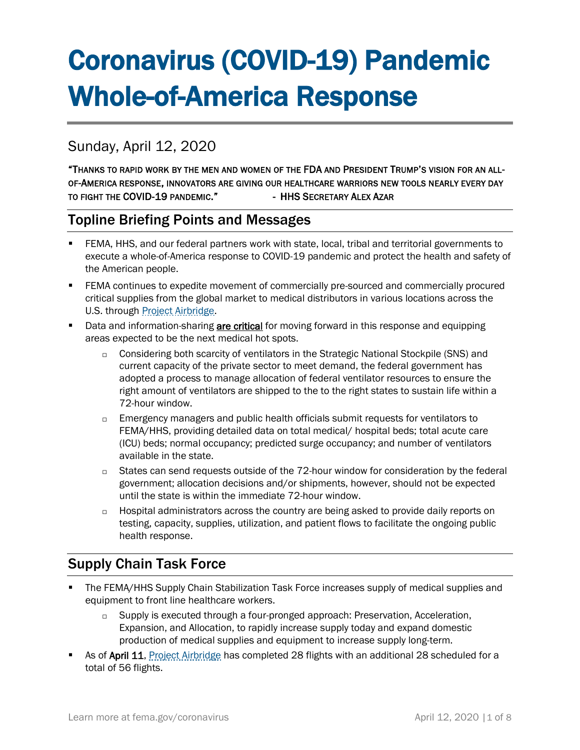# Coronavirus (COVID-19) Pandemic Whole-of-America Response

# Sunday, April 12, 2020

"THANKS TO RAPID WORK BY THE MEN AND WOMEN OF THE FDA AND PRESIDENT TRUMP'S VISION FOR AN ALL-OF-AMERICA RESPONSE, INNOVATORS ARE GIVING OUR HEALTHCARE WARRIORS NEW TOOLS NEARLY EVERY DAY TO FIGHT THE COVID-19 PANDEMIC." - HHS SECRETARY ALEX AZAR

## Topline Briefing Points and Messages

- FEMA, HHS, and our federal partners work with state, local, tribal and territorial governments to execute a whole-of-America response to COVID-19 pandemic and protect the health and safety of the American people.
- **FEMA continues to expedite movement of commercially pre-sourced and commercially procured** critical supplies from the global market to medical distributors in various locations across the U.S. through [Project Airbridge.](https://www.fema.gov/news-release/2020/04/08/fema-covid-19-supply-chain-task-force-supply-chain-stabilization)
- **E** Data and information-sharing **are critical** for moving forward in this response and equipping areas expected to be the next medical hot spots.
	- □ Considering both scarcity of ventilators in the Strategic National Stockpile (SNS) and current capacity of the private sector to meet demand, the federal government has adopted a process to manage allocation of federal ventilator resources to ensure the right amount of ventilators are shipped to the to the right states to sustain life within a 72-hour window.
	- $\Box$  Emergency managers and public health officials submit requests for ventilators to FEMA/HHS, providing detailed data on total medical/ hospital beds; total acute care (ICU) beds; normal occupancy; predicted surge occupancy; and number of ventilators available in the state.
	- $\Box$  States can send requests outside of the 72-hour window for consideration by the federal government; allocation decisions and/or shipments, however, should not be expected until the state is within the immediate 72-hour window.
	- $\Box$  Hospital administrators across the country are being asked to provide daily reports on testing, capacity, supplies, utilization, and patient flows to facilitate the ongoing public health response.

# Supply Chain Task Force

- The FEMA/HHS Supply Chain Stabilization Task Force increases supply of medical supplies and equipment to front line healthcare workers.
	- $\Box$  Supply is executed through a four-pronged approach: Preservation, Acceleration, Expansion, and Allocation, to rapidly increase supply today and expand domestic production of medical supplies and equipment to increase supply long-term.
- As of April 11, [Project Airbridge](https://www.fema.gov/news-release/2020/04/08/fema-covid-19-supply-chain-task-force-supply-chain-stabilization) has completed 28 flights with an additional 28 scheduled for a total of 56 flights.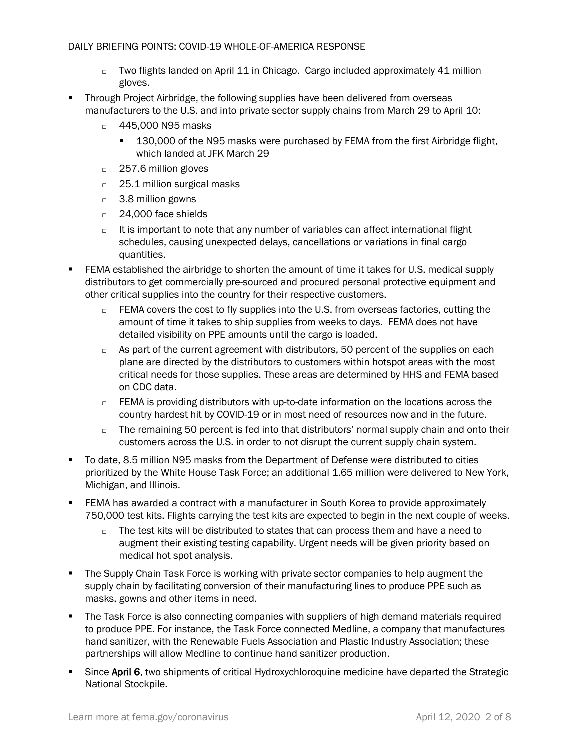- $\Box$  Two flights landed on April 11 in Chicago. Cargo included approximately 41 million gloves.
- Through Project Airbridge, the following supplies have been delivered from overseas manufacturers to the U.S. and into private sector supply chains from March 29 to April 10:
	- □ 445,000 N95 masks
		- 130,000 of the N95 masks were purchased by FEMA from the first Airbridge flight, which landed at JFK March 29
	- □ 257.6 million gloves
	- □ 25.1 million surgical masks
	- 3.8 million gowns
	- □ 24,000 face shields
	- $\Box$  It is important to note that any number of variables can affect international flight schedules, causing unexpected delays, cancellations or variations in final cargo quantities.
- FEMA established the airbridge to shorten the amount of time it takes for U.S. medical supply distributors to get commercially pre-sourced and procured personal protective equipment and other critical supplies into the country for their respective customers.
	- $\Box$  FEMA covers the cost to fly supplies into the U.S. from overseas factories, cutting the amount of time it takes to ship supplies from weeks to days. FEMA does not have detailed visibility on PPE amounts until the cargo is loaded.
	- $\Box$  As part of the current agreement with distributors, 50 percent of the supplies on each plane are directed by the distributors to customers within hotspot areas with the most critical needs for those supplies. These areas are determined by HHS and FEMA based on CDC data.
	- $\Box$  FEMA is providing distributors with up-to-date information on the locations across the country hardest hit by COVID-19 or in most need of resources now and in the future.
	- $\Box$  The remaining 50 percent is fed into that distributors' normal supply chain and onto their customers across the U.S. in order to not disrupt the current supply chain system.
- To date, 8.5 million N95 masks from the Department of Defense were distributed to cities prioritized by the White House Task Force; an additional 1.65 million were delivered to New York, Michigan, and Illinois.
- FEMA has awarded a contract with a manufacturer in South Korea to provide approximately 750,000 test kits. Flights carrying the test kits are expected to begin in the next couple of weeks.
	- $\Box$  The test kits will be distributed to states that can process them and have a need to augment their existing testing capability. Urgent needs will be given priority based on medical hot spot analysis.
- **•** The Supply Chain Task Force is working with private sector companies to help augment the supply chain by facilitating conversion of their manufacturing lines to produce PPE such as masks, gowns and other items in need.
- The Task Force is also connecting companies with suppliers of high demand materials required to produce PPE. For instance, the Task Force connected Medline, a company that manufactures hand sanitizer, with the Renewable Fuels Association and Plastic Industry Association; these partnerships will allow Medline to continue hand sanitizer production.
- Since April 6, two shipments of critical Hydroxychloroquine medicine have departed the Strategic National Stockpile.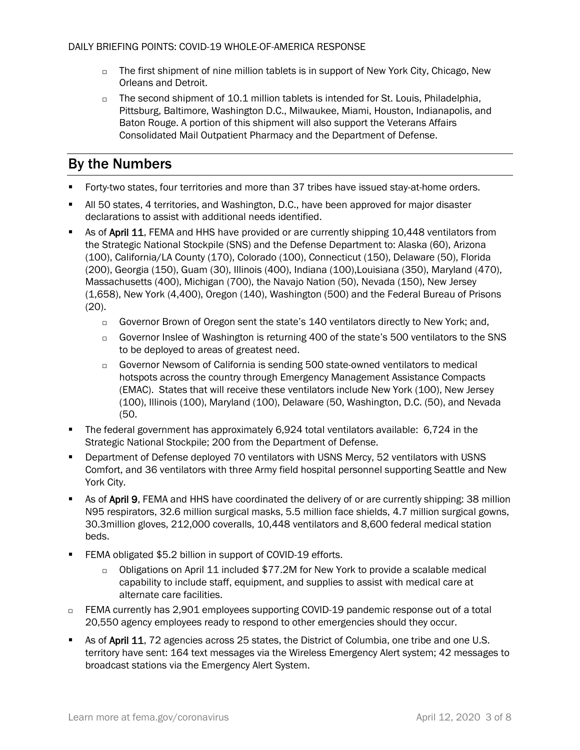- $\Box$  The first shipment of nine million tablets is in support of New York City, Chicago, New Orleans and Detroit.
- $\Box$  The second shipment of 10.1 million tablets is intended for St. Louis, Philadelphia, Pittsburg, Baltimore, Washington D.C., Milwaukee, Miami, Houston, Indianapolis, and Baton Rouge. A portion of this shipment will also support the Veterans Affairs Consolidated Mail Outpatient Pharmacy and the Department of Defense.

# By the Numbers

- Forty-two states, four territories and more than 37 tribes have issued stay-at-home orders.
- All 50 states, 4 territories, and Washington, D.C., have been approved for major disaster declarations to assist with additional needs identified.
- As of April 11, FEMA and HHS have provided or are currently shipping 10,448 ventilators from the Strategic National Stockpile (SNS) and the Defense Department to: Alaska (60), Arizona (100), California/LA County (170), Colorado (100), Connecticut (150), Delaware (50), Florida (200), Georgia (150), Guam (30), Illinois (400), Indiana (100),Louisiana (350), Maryland (470), Massachusetts (400), Michigan (700), the Navajo Nation (50), Nevada (150), New Jersey (1,658), New York (4,400), Oregon (140), Washington (500) and the Federal Bureau of Prisons (20).
	- Governor Brown of Oregon sent the state's 140 ventilators directly to New York; and,
	- □ Governor Inslee of Washington is returning 400 of the state's 500 ventilators to the SNS to be deployed to areas of greatest need.
	- Governor Newsom of California is sending 500 state-owned ventilators to medical hotspots across the country through Emergency Management Assistance Compacts (EMAC). States that will receive these ventilators include New York (100), New Jersey (100), Illinois (100), Maryland (100), Delaware (50, Washington, D.C. (50), and Nevada (50.
- The federal government has approximately 6,924 total ventilators available: 6,724 in the Strategic National Stockpile; 200 from the Department of Defense.
- Department of Defense deployed 70 ventilators with USNS Mercy, 52 ventilators with USNS Comfort, and 36 ventilators with three Army field hospital personnel supporting Seattle and New York City.
- As of April 9, FEMA and HHS have coordinated the delivery of or are currently shipping: 38 million N95 respirators, 32.6 million surgical masks, 5.5 million face shields, 4.7 million surgical gowns, 30.3million gloves, 212,000 coveralls, 10,448 ventilators and 8,600 federal medical station beds.
- FEMA obligated \$5.2 billion in support of COVID-19 efforts.
	- Obligations on April 11 included \$77.2M for New York to provide a scalable medical capability to include staff, equipment, and supplies to assist with medical care at alternate care facilities.
- □ FEMA currently has 2,901 employees supporting COVID-19 pandemic response out of a total 20,550 agency employees ready to respond to other emergencies should they occur.
- As of April 11, 72 agencies across 25 states, the District of Columbia, one tribe and one U.S. territory have sent: 164 text messages via the Wireless Emergency Alert system; 42 messages to broadcast stations via the Emergency Alert System.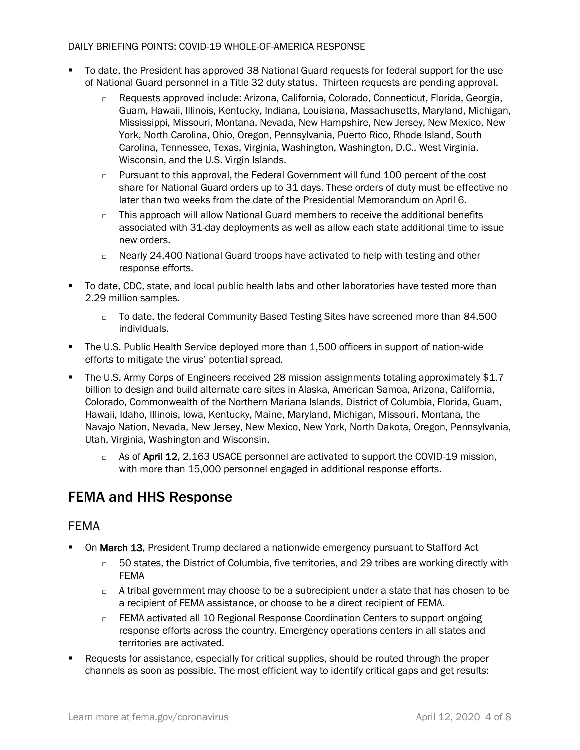- To date, the President has approved 38 National Guard requests for federal support for the use of National Guard personnel in a Title 32 duty status. Thirteen requests are pending approval.
	- Requests approved include: Arizona, California, Colorado, Connecticut, Florida, Georgia, Guam, Hawaii, Illinois, Kentucky, Indiana, Louisiana, Massachusetts, Maryland, Michigan, Mississippi, Missouri, Montana, Nevada, New Hampshire, New Jersey, New Mexico, New York, North Carolina, Ohio, Oregon, Pennsylvania, Puerto Rico, Rhode Island, South Carolina, Tennessee, Texas, Virginia, Washington, Washington, D.C., West Virginia, Wisconsin, and the U.S. Virgin Islands.
	- $\Box$  Pursuant to this approval, the Federal Government will fund 100 percent of the cost share for National Guard orders up to 31 days. These orders of duty must be effective no later than two weeks from the date of the Presidential Memorandum on April 6.
	- $\Box$  This approach will allow National Guard members to receive the additional benefits associated with 31-day deployments as well as allow each state additional time to issue new orders.
	- $\Box$  Nearly 24,400 National Guard troops have activated to help with testing and other response efforts.
- To date, CDC, state, and local public health labs and other laboratories have tested more than 2.29 million samples.
	- □ To date, the federal Community Based Testing Sites have screened more than 84,500 individuals.
- The U.S. Public Health Service deployed more than 1,500 officers in support of nation-wide efforts to mitigate the virus' potential spread.
- The U.S. Army Corps of Engineers received 28 mission assignments totaling approximately \$1.7 billion to design and build alternate care sites in Alaska, American Samoa, Arizona, California, Colorado, Commonwealth of the Northern Mariana Islands, District of Columbia, Florida, Guam, Hawaii, Idaho, Illinois, Iowa, Kentucky, Maine, Maryland, Michigan, Missouri, Montana, the Navajo Nation, Nevada, New Jersey, New Mexico, New York, North Dakota, Oregon, Pennsylvania, Utah, Virginia, Washington and Wisconsin.
	- $\Box$  As of April 12, 2,163 USACE personnel are activated to support the COVID-19 mission, with more than 15,000 personnel engaged in additional response efforts.

## FEMA and HHS Response

## FEMA

- On March 13, President Trump declared a nationwide emergency pursuant to Stafford Act
	- $\Box$  50 states, the District of Columbia, five territories, and 29 tribes are working directly with FEMA
	- $\Box$  A tribal government may choose to be a subrecipient under a state that has chosen to be a recipient of FEMA assistance, or choose to be a direct recipient of FEMA.
	- FEMA activated all 10 Regional Response Coordination Centers to support ongoing response efforts across the country. Emergency operations centers in all states and territories are activated.
- Requests for assistance, especially for critical supplies, should be routed through the proper channels as soon as possible. The most efficient way to identify critical gaps and get results: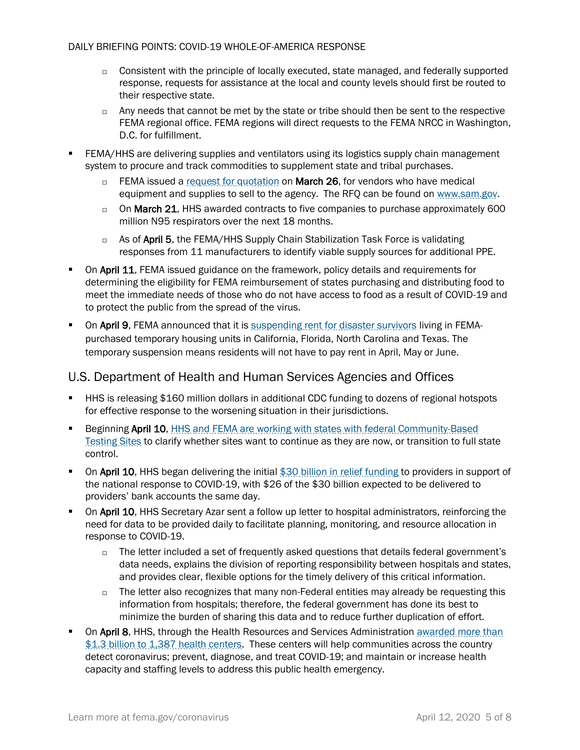- $\Box$  Consistent with the principle of locally executed, state managed, and federally supported response, requests for assistance at the local and county levels should first be routed to their respective state.
- $\Box$  Any needs that cannot be met by the state or tribe should then be sent to the respective FEMA regional office. FEMA regions will direct requests to the FEMA NRCC in Washington, D.C. for fulfillment.
- FEMA/HHS are delivering supplies and ventilators using its logistics supply chain management system to procure and track commodities to supplement state and tribal purchases.
	- □ FEMA issued a [request for quotation](https://beta.sam.gov/opp/3e05e664e606486ca34d1a41b47ff0ff/view) on **March 26**, for vendors who have medical equipment and supplies to sell to the agency. The RFQ can be found on [www.sam.gov.](http://www.sam.gov/)
	- $\Box$  On March 21, HHS awarded contracts to five companies to purchase approximately 600 million N95 respirators over the next 18 months.
	- $\Box$  As of April 5, the FEMA/HHS Supply Chain Stabilization Task Force is validating responses from 11 manufacturers to identify viable supply sources for additional PPE.
- **On April 11, FEMA** issued guidance on the framework, policy details and requirements for determining the eligibility for FEMA reimbursement of states purchasing and distributing food to meet the immediate needs of those who do not have access to food as a result of COVID-19 and to protect the public from the spread of the virus.
- **The Studing Property Condomical Constant** is the suppose of the sture of survivors living in FEMApurchased temporary housing units in California, Florida, North Carolina and Texas. The temporary suspension means residents will not have to pay rent in April, May or June.

## U.S. Department of Health and Human Services Agencies and Offices

- **■** HHS is releasing \$160 million dollars in additional CDC funding to dozens of regional hotspots for effective response to the worsening situation in their jurisdictions.
- Beginning April 10, HHS and FEMA are working with states with federal Community-Based [Testing Sites](https://www.fema.gov/news-release/2020/04/09/option-transition-federal-community-based-testing-sites-state-management) to clarify whether sites want to continue as they are now, or transition to full state control.
- **On April 10, HHS began delivering the initial [\\$30 billion in relief funding](https://www.hhs.gov/about/news/2020/04/10/hhs-to-begin-immediate-delivery-of-initial-30-billion-of-cares-act-provider-relief-funding.html) to providers in support of** the national response to COVID-19, with \$26 of the \$30 billion expected to be delivered to providers' bank accounts the same day.
- On April 10, HHS Secretary Azar sent a follow up letter to hospital administrators, reinforcing the need for data to be provided daily to facilitate planning, monitoring, and resource allocation in response to COVID-19.
	- $\Box$  The letter included a set of frequently asked questions that details federal government's data needs, explains the division of reporting responsibility between hospitals and states, and provides clear, flexible options for the timely delivery of this critical information.
	- $\Box$  The letter also recognizes that many non-Federal entities may already be requesting this information from hospitals; therefore, the federal government has done its best to minimize the burden of sharing this data and to reduce further duplication of effort.
- **On April 8, HHS, through the Health Resources and Services Administration awarded more than** [\\$1.3 billion to 1,387 health centers.](https://www.hhs.gov/about/news/2020/04/08/hhs-awards-billion-to-health-centers-in-historic-covid19-response.html) These centers will help communities across the country detect coronavirus; prevent, diagnose, and treat COVID-19; and maintain or increase health capacity and staffing levels to address this public health emergency.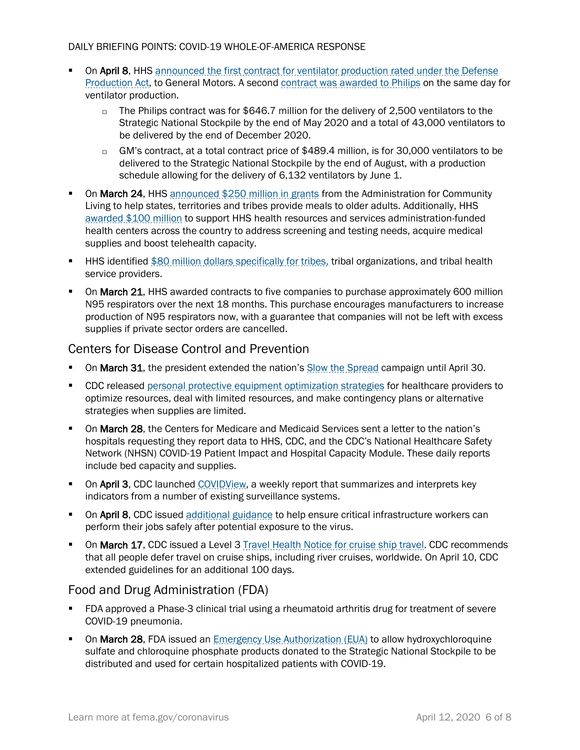- **On April 8, HHS** announced the first contract for ventilator production rated under the Defense [Production Act,](https://www.hhs.gov/about/news/2020/04/08/hhs-announces-ventilator-contract-with-gm-under-defense-production-act.html) to General Motors. A secon[d contract was awarded to](https://www.hhs.gov/about/news/2020/04/08/hhs-announces-ventilator-contract-with-philips-under-defense-production-act.html) Philips on the same day for ventilator production.
	- $\Box$  The Philips contract was for \$646.7 million for the delivery of 2,500 ventilators to the Strategic National Stockpile by the end of May 2020 and a total of 43,000 ventilators to be delivered by the end of December 2020.
	- □ GM's contract, at a total contract price of \$489.4 million, is for 30,000 ventilators to be delivered to the Strategic National Stockpile by the end of August, with a production schedule allowing for the delivery of 6,132 ventilators by June 1.
- **On March 24, HHS** [announced \\$250 million in grants](https://www.hhs.gov/about/news/2020/03/24/hhs-announces-grants-to-provide-meals-for-older-adults.html) from the Administration for Community Living to help states, territories and tribes provide meals to older adults. Additionally, HHS [awarded \\$100 million](https://www.hhs.gov/about/news/2020/03/24/hhs-awards-100-million-to-health-centers-for-covid-19-response.html) to support HHS health resources and services administration-funded health centers across the country to address screening and testing needs, acquire medical supplies and boost telehealth capacity.
- HHS identified [\\$80 million dollars specifically for tribes,](https://www.hhs.gov/about/news/2020/03/20/hhs-announces-upcoming-action-to-provide-funding-to-tribes-for-covid-19-response.html) tribal organizations, and tribal health service providers.
- **On March 21, HHS** awarded contracts to five companies to purchase approximately 600 million N95 respirators over the next 18 months. This purchase encourages manufacturers to increase production of N95 respirators now, with a guarantee that companies will not be left with excess supplies if private sector orders are cancelled.

### Centers for Disease Control and Prevention

- **On March 31,** the president extended the nation's [Slow the Spread](https://www.coronavirus.gov/) campaign until April 30.
- **CDC released [personal protective equipment optimization strategies](https://www.cdc.gov/coronavirus/2019-ncov/hcp/ppe-strategy/index.html) for healthcare providers to** optimize resources, deal with limited resources, and make contingency plans or alternative strategies when supplies are limited.
- On March 28, the Centers for Medicare and Medicaid Services sent a letter to the nation's hospitals requesting they report data to HHS, CDC, and the CDC's National Healthcare Safety Network (NHSN) COVID-19 Patient Impact and Hospital Capacity Module. These daily reports include bed capacity and supplies.
- **On April 3, CDC** launched [COVIDView,](https://www.cdc.gov/coronavirus/2019-ncov/covid-data/pdf/covidview.pdf) a weekly report that summarizes and interprets key indicators from a number of existing surveillance systems.
- On April 8, CDC issued [additional guidance](https://www.cdc.gov/coronavirus/2019-ncov/community/critical-workers/implementing-safety-practices.html) to help ensure critical infrastructure workers can perform their jobs safely after potential exposure to the virus.
- **On March 17, CDC** issued a Level 3 [Travel Health Notice for cruise ship travel.](https://wwwnc.cdc.gov/travel/notices/warning/coronavirus-cruise-ship) CDC recommends that all people defer travel on cruise ships, including river cruises, worldwide. On April 10, CDC extended guidelines for an additional 100 days.

## Food and Drug Administration (FDA)

- FDA approved a Phase-3 clinical trial using a rheumatoid arthritis drug for treatment of severe COVID-19 pneumonia.
- **On March 28, FDA** issued an *Emergency Use Authorization (EUA)* to allow hydroxychloroquine sulfate and chloroquine phosphate products donated to the Strategic National Stockpile to be distributed and used for certain hospitalized patients with COVID-19.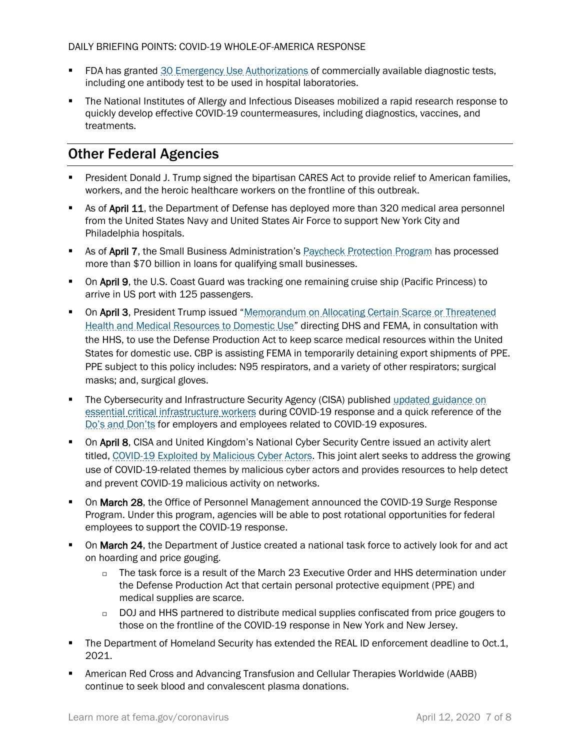- **FDA has granted [30 Emergency Use Authorizations](https://www.fda.gov/news-events/press-announcements/coronavirus-covid-19-update-daily-roundup-april-7-2020) of commercially available diagnostic tests,** including one antibody test to be used in hospital laboratories.
- The National Institutes of Allergy and Infectious Diseases mobilized a rapid research response to quickly develop effective COVID-19 countermeasures, including diagnostics, vaccines, and treatments.

# Other Federal Agencies

- President Donald J. Trump signed the bipartisan CARES Act to provide relief to American families, workers, and the heroic healthcare workers on the frontline of this outbreak.
- As of April 11, the Department of Defense has deployed more than 320 medical area personnel from the United States Navy and United States Air Force to support New York City and Philadelphia hospitals.
- As of April 7, the Small Business Administration's [Paycheck Protection Program](https://www.sba.gov/funding-programs/loans/coronavirus-relief-options/paycheck-protection-program-ppp) has processed more than \$70 billion in loans for qualifying small businesses.
- **On April 9, the U.S. Coast Guard was tracking one remaining cruise ship (Pacific Princess) to** arrive in US port with 125 passengers.
- **On April 3, President Trump issued "Memorandum on Allocating Certain Scarce or Threatened** Health and Medical [Resources to Domestic Use](https://www.whitehouse.gov/presidential-actions/memorandum-allocating-certain-scarce-threatened-health-medical-resources-domestic-use/)" directing DHS and FEMA, in consultation with the HHS, to use the Defense Production Act to keep scarce medical resources within the United States for domestic use. CBP is assisting FEMA in temporarily detaining export shipments of PPE. PPE subject to this policy includes: N95 respirators, and a variety of other respirators; surgical masks; and, surgical gloves.
- The Cybersecurity and Infrastructure Security Agency (CISA) published updated guidance on [essential critical infrastructure workers](https://www.cisa.gov/identifying-critical-infrastructure-during-covid-19) during COVID-19 response and a quick reference of the [Do's and Don'ts](https://www.cdc.gov/coronavirus/2019-ncov/downloads/Essential-Critical-Workers_Dos-and-Donts.pdf) for employers and employees related to COVID-19 exposures.
- On April 8, CISA and United Kingdom's National Cyber Security Centre issued an activity alert titled, [COVID-19 Exploited by Malicious Cyber Actors.](https://www.us-cert.gov/ncas/alerts/aa20-099a) This joint alert seeks to address the growing use of COVID-19-related themes by malicious cyber actors and provides resources to help detect and prevent COVID-19 malicious activity on networks.
- **On March 28, the Office of Personnel Management announced the COVID-19 Surge Response** Program. Under this program, agencies will be able to post rotational opportunities for federal employees to support the COVID-19 response.
- **On March 24, the Department of Justice created a national task force to actively look for and act** on hoarding and price gouging.
	- $\Box$  The task force is a result of the March 23 Executive Order and HHS determination under the Defense Production Act that certain personal protective equipment (PPE) and medical supplies are scarce.
	- $\Box$  DOJ and HHS partnered to distribute medical supplies confiscated from price gougers to those on the frontline of the COVID-19 response in New York and New Jersey.
- **The Department of Homeland Security has extended the REAL ID enforcement deadline to Oct.1,** 2021.
- American Red Cross and Advancing Transfusion and Cellular Therapies Worldwide (AABB) continue to seek blood and convalescent plasma donations.